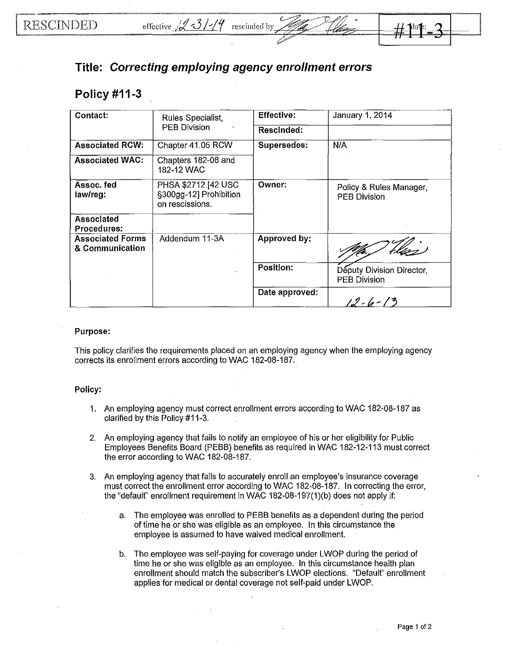## **Title: Correcting employing agency enrollment errors**

## **Policy #11-3**

| Contact:                                   | Rules Specialist,<br><b>PEB Division</b>                         | <b>Effective:</b> | January 1, 2014                                  |
|--------------------------------------------|------------------------------------------------------------------|-------------------|--------------------------------------------------|
|                                            |                                                                  | Rescinded:        |                                                  |
| <b>Associated RCW:</b>                     | Chapter 41.05 RCW                                                | Supersedes:       | N/A                                              |
| <b>Associated WAC:</b>                     | Chapters 182-08 and<br>182-12 WAC                                |                   |                                                  |
| Assoc. fed<br>law/reg:                     | PHSA \$2712 [42 USC<br>§300gg-12] Prohibition<br>on rescissions. | Owner:            | Policy & Rules Manager,<br><b>PEB Division</b>   |
| <b>Associated</b><br><b>Procedures:</b>    |                                                                  |                   |                                                  |
| <b>Associated Forms</b><br>& Communication | Addendum 11-3A                                                   | Approved by:      |                                                  |
|                                            |                                                                  | <b>Position:</b>  | Deputy Division Director,<br><b>PEB Division</b> |
|                                            |                                                                  | Date approved:    | $12 - 6 - 13$                                    |

## **Purpose:**

This policy clarifies the requirements placed on an employing agency when the employing agency corrects its enrollment errors according to WAC 182-08-187.

## **Policy:**

- 1. An employing agency must correct enrollment errors according to WAC 182-08-187 as clarified by this Policy #11-3.
- 2. An employing agency that fails to notify an employee of his or her eligibility for Public Employees Benefits Board (PEBB) benefits as required **in** WAC 182-12-113 must correct the error according to WAC 182-08-187.
- 3. An employing agency that fails to accurately enroll an employee's insurance coverage must correct the enrollment error according to WAC 182-08-187. In correcting the error, the "default" enrollment requirement in WAC 182-08-197(1)(b) does not apply if:
	- a. The employee was enrolled to PEBB benefits as a dependent during the period of time he or she was eligible as an employee. In this circumstance the employee is assumed to have waived medical enrollment.
	- b. The employee was self-paying for coverage under LWOP during the period of time he or she was eligible as an employee. In this circumstance health plan enrollment should match the subscriber's LWOP elections. "Default" enrollment applies for medical or dental coverage not self-paid under LWOP.